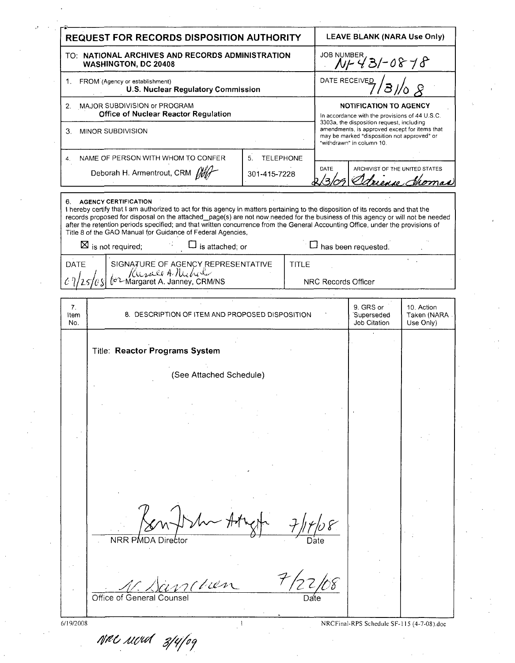| <b>REQUEST FOR RECORDS DISPOSITION AUTHORITY</b>                                  |                                                                                                                                                                                                                                                                                                                                                                                                                                                                                                                                                                |                        | <b>LEAVE BLANK (NARA Use Only)</b> |                                                                                                                                                                        |                                                                                 |                                        |  |
|-----------------------------------------------------------------------------------|----------------------------------------------------------------------------------------------------------------------------------------------------------------------------------------------------------------------------------------------------------------------------------------------------------------------------------------------------------------------------------------------------------------------------------------------------------------------------------------------------------------------------------------------------------------|------------------------|------------------------------------|------------------------------------------------------------------------------------------------------------------------------------------------------------------------|---------------------------------------------------------------------------------|----------------------------------------|--|
| TO: NATIONAL ARCHIVES AND RECORDS ADMINISTRATION<br>WASHINGTON, DC 20408          |                                                                                                                                                                                                                                                                                                                                                                                                                                                                                                                                                                |                        |                                    | JOB NUMBER<br>N/ 43/-0878                                                                                                                                              |                                                                                 |                                        |  |
| FROM (Agency or establishment)<br>1.<br>U.S. Nuclear Regulatory Commission        |                                                                                                                                                                                                                                                                                                                                                                                                                                                                                                                                                                |                        |                                    |                                                                                                                                                                        | DATE RECEIVED                                                                   |                                        |  |
| MAJOR SUBDIVISION or PROGRAM<br>2.<br><b>Office of Nuclear Reactor Regulation</b> |                                                                                                                                                                                                                                                                                                                                                                                                                                                                                                                                                                |                        |                                    |                                                                                                                                                                        | <b>NOTIFICATION TO AGENCY</b><br>In accordance with the provisions of 44 U.S.C. |                                        |  |
| 3.<br>MINOR SUBDIVISION                                                           |                                                                                                                                                                                                                                                                                                                                                                                                                                                                                                                                                                |                        |                                    | 3303a, the disposition request, including<br>amendments, is approved except for items that<br>may be marked "disposition not approved" or<br>"withdrawn" in column 10. |                                                                                 |                                        |  |
| 4.                                                                                | NAME OF PERSON WITH WHOM TO CONFER                                                                                                                                                                                                                                                                                                                                                                                                                                                                                                                             | <b>TELEPHONE</b><br>5. |                                    |                                                                                                                                                                        |                                                                                 |                                        |  |
|                                                                                   | Deborah H. Armentrout, CRM fift                                                                                                                                                                                                                                                                                                                                                                                                                                                                                                                                | 301-415-7228           |                                    | DATE<br>′੨                                                                                                                                                             | ARCHIVIST OF THE UNITED STATES                                                  | Adrience Shoma                         |  |
| 6.                                                                                | <b>AGENCY CERTIFICATION</b><br>I hereby certify that I am authorized to act for this agency in matters pertaining to the disposition of its records and that the<br>records proposed for disposal on the attached_page(s) are not now needed for the business of this agency or will not be needed<br>after the retention periods specified; and that written concurrence from the General Accounting Office, under the provisions of<br>Title 8 of the GAO Manual for Guidance of Federal Agencies,<br>$\boxtimes$ is not required;<br>$\Box$ is attached; or |                        |                                    |                                                                                                                                                                        | $\Box$ has been requested.                                                      |                                        |  |
| DATE                                                                              | SIGNATURE OF AGENCY REPRESENTATIVE<br>Ounce A Mehrer<br>Cor Margaret A. Janney, CRM/NS                                                                                                                                                                                                                                                                                                                                                                                                                                                                         |                        | <b>TITLE</b>                       | NRC Records Officer                                                                                                                                                    |                                                                                 |                                        |  |
| 7.<br>Item<br>No.                                                                 | 8. DESCRIPTION OF ITEM AND PROPOSED DISPOSITION                                                                                                                                                                                                                                                                                                                                                                                                                                                                                                                |                        |                                    |                                                                                                                                                                        | 9 GRS or<br>Superseded<br>Job Citation                                          | 10. Action<br>Taken (NARA<br>Use Only) |  |
|                                                                                   | Title: Reactor Programs System<br>(See Attached Schedule)                                                                                                                                                                                                                                                                                                                                                                                                                                                                                                      |                        |                                    |                                                                                                                                                                        |                                                                                 |                                        |  |
|                                                                                   |                                                                                                                                                                                                                                                                                                                                                                                                                                                                                                                                                                |                        |                                    |                                                                                                                                                                        |                                                                                 |                                        |  |
|                                                                                   |                                                                                                                                                                                                                                                                                                                                                                                                                                                                                                                                                                |                        |                                    |                                                                                                                                                                        |                                                                                 |                                        |  |
|                                                                                   |                                                                                                                                                                                                                                                                                                                                                                                                                                                                                                                                                                |                        |                                    |                                                                                                                                                                        |                                                                                 |                                        |  |
|                                                                                   | NRR PMDA Director                                                                                                                                                                                                                                                                                                                                                                                                                                                                                                                                              |                        |                                    |                                                                                                                                                                        |                                                                                 |                                        |  |
|                                                                                   |                                                                                                                                                                                                                                                                                                                                                                                                                                                                                                                                                                |                        |                                    |                                                                                                                                                                        |                                                                                 |                                        |  |
|                                                                                   | Office of General Counse                                                                                                                                                                                                                                                                                                                                                                                                                                                                                                                                       |                        |                                    |                                                                                                                                                                        |                                                                                 |                                        |  |

**6/19/2008 I** NRCFinal-RPS Schedule **SF-1 15** (4-7-08).doc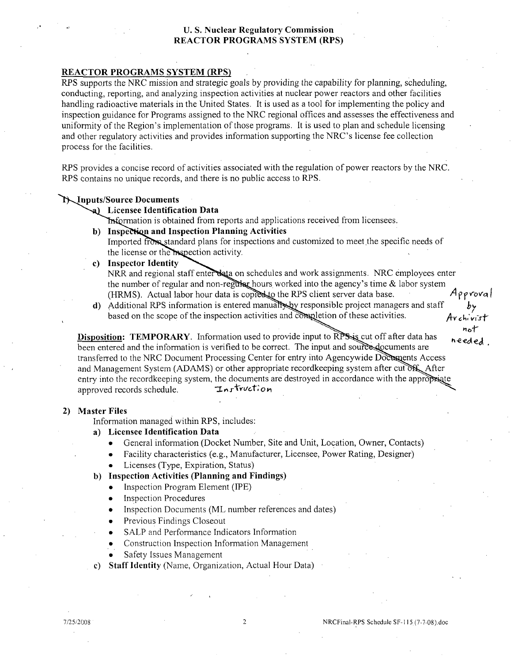## **U. S.** Nuclear Regulatory Commission REACTOR PROGRAMS SYSTEM (RPS)

## REACTOR PROGRAMS SYSTEM (RPS)

RPS supports the NRC mission and strategic goals by providing the capability for planning, scheduling, conducting, reporting, and analyzing inspection activities at nuclear power reactors and other facilities handling radioactive materials in the United States. It is used as a tool for implementing the policy and inspection guidance for Programs assigned to the NRC regional offices and assesses the effectiveness and uniformity of the Region's implementation of those programs. It is used to plan and schedule licensing and other regulatory activities and provides information supporting the NRC's license fee collection process for the facilities.

RPS provides a concise record of activities associated with the regulation of power reactors by the NRC. RPS contains no unique records, and there is no public access to RPS.

### 'TIputs/Source Documents

### a) Licensee Identification Data

**Traformation is obtained from reports and applications received from licensees.** 

**b)** Inspection and Inspection Planning Activities

Imported from standard plans for inspections and customized to meet the specific needs of the license or the inspection activity.

- 
- c) Inspector Identity<br>NRR and regional staff enter data on schedules and work assignments. NRC employees enter the number of regular and non-regular hours worked into the agency's time & labor system (HRMS). Actual labor hour data is copies to the RPS client server data base.  $\mathcal{A}_{PP}$  roval
- d) Additional RPS information is entered manual by responsible project managers and staff based on the scope of the inspection activities and completion of these activities.  $A_{\mathbf{Y} \epsilon}$ *h*,  $\epsilon'_{\mathbf{Y} \epsilon}$ *i*-

not<br>**Disposition: TEMPORARY**. Information used to provide input to RPS is cut off after data has **heeded** been entered and the information is verified to be correct. The input, and source documents are transferred to the NRC Document Processing Center for entry into Agencywide Documents Access and Management System **(ADAMS)** or other appropriate record keeping system after cut of After entry into the recordkeeping system, the documents are destroyed in accordance with the appropriate approved records schedule. *Instruction* 

#### 2) Master Files

Information managed within RPS, includes:

- a) Licensee Identification Data
	- **0** General information (Docket Number, Site and Unit, Location, Owner, Contacts)
	- Facility characteristics (e.g., Manufacturer, Licensee, Power Rating, Designer)
	- Licenses (Type, Expiration, Status)

### **b)** Inspection Activities (Planning and Findings)

- **0** Inspection Program Element **(IPE)**
- Inspection Procedures
- **0** Inspection Documents (ML number references and dates)
- Previous Findings Closeout
- SALP and Performance Indicators Information
- **0** Construction Inspection Information Management
- Safety Issues Management
- **c)** Staff Identity (Name, Organization, Actual Hour Data)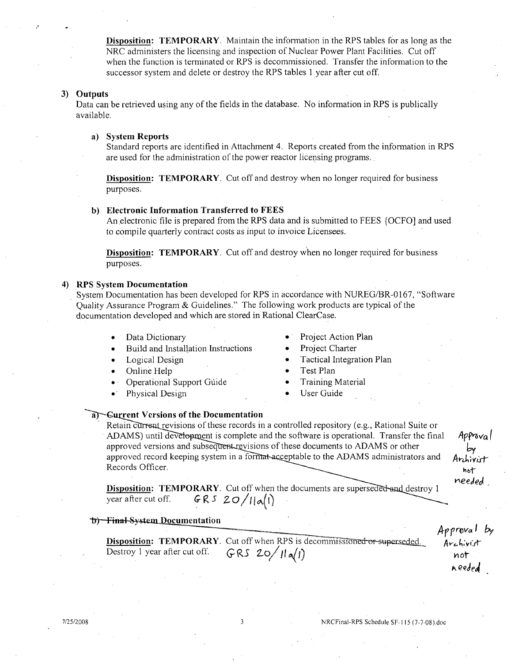Disposition: TEMPORARY. Maintain the infornation in the RPS tables for as long as the NRC administers the licensing and inspection of Nuclear Power Plant Facilities. Cut off when the function is terminated or RPS is decommissioned. Transfer the information to the successor system and delete or destroy the RPS tables **I** year after cut off.

### **3)** Outputs

Data can be retrieved using any of the fields in the database. No information in RPS is publically available.

#### a) System Reports

Standard reports are identified in Attachment 4. Reports created from the information in RPS are used for the administration of the power reactor licensing programs..

**Disposition: TEMPORARY**. Cut off and destroy when no longer required for business purposes.

### **b)** Electronic Information Transferred to **FEES**

An electronic file is prepared from the RPS data and is submitted to FEES {OCFO] and used to compile quarterly contract costs as input to invoice Licensees.

**Disposition: TEMPORARY.** Cut off and destroy when no longer required for business purposes.

#### 4) RPS System Documentation

System Documentation has been developed for RPS in accordance with NUREG/BR-0167, "Software Quality Assurance Program & Guidelines." The following work products are typical of the documentation developed and which are stored in Rational ClearCase.

- 
- **Build and Installation Instructions Project Charter**
- 
- \* Online Help **0** Test Plan
- **9.** Operational Support Guiide **0** Training Material
- **Physical Design beautiful Construction 1 0** User Guide
- Data Dictionary " Project Action Plan
	-
- \* Logical Design **0** Tactical Integration Plan
	-
	-
	-

#### a **Gurrent Versions of the Documentation**

Retain current revisions of these records in a controlled repository (e.g., Rational Suite or ADAMS) until development is complete and the software is operational. Transfer the final  $ApP\alpha$ approved versions and subsequent revisions of these documents to ADAMS or other approved record keeping system in a format-acceptable to the ADAMS administrators and  $A_{\text{r}}$ Records Officer.

**Disposition: TEMPORARY**. Cut off when the documents are superseded and destroy 1 year after cut off.  $GR 5 20/|A|$ 

### **+T**)-Final-System Documentation

Disposition: TEMPORARY. Cut off when RPS is decommissioned-or-superseded. *Archivist*<br>Destroy 1 year after cut off. cases  $\frac{20}{10}$ 

hot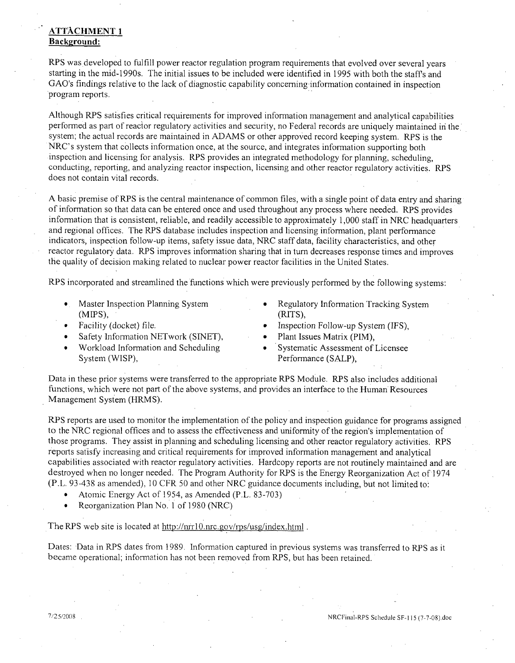# **ATTACHMENT I** Background:

RPS was developed to fulfill power reactor regulation program requirements that evolved over several years starting in the mid-1990s. The initial issues to be included were identified in 1995 with both the staffs and GAO's findings relative to the lack of diagnostic capability concerning-information contained in inspection program reports.

Although RPS satisfies critical requirements for improved information management and analytical capabilities performed as part of reactor regulatory activities and security, no Federal records are uniquely maintained in the system; the actual records are maintained in ADAMS or other approved record keeping system. RPS is the NRC's system that collects information once, at the source, and integrates information supporting both inspection and licensing for analysis. RPS provides an integrated methodology for planning, scheduling, conducting, reporting, and analyzing reactor inspection, licensing and other reactor regulatory activities. RPS does not contain vital records.

A basic premise of RPS is the central maintenance of common files, with a single point of data entry and sharing of information so that data can be entered once and used throughout any process where needed. RPS provides information that is consistent, reliable, and readily accessible to approximately 1,000 staff in NRC headquarters and regional offices. The RPS database includes inspection and licensing information, plant performance indicators, inspection follow-up items, safety issue data, NRC staff data, facility characteristics, and other reactor regulatory data. RPS improves information sharing that in turn decreases response times and improves the quality of decision making related to nuclear power reactor facilities in the United States.

RPS incorporated and streamlined the functions which were previously performed by the following systems:

- (M[PS), (RITS),
- 
- Safety Information NETwork (SINET), • Plant Issues Matrix (PIM),
- Workload Information and Scheduling **9 •** Systematic Assessment of Licensee
- **"** Master Inspection Planning System **0** Regulatory Information Tracking System
- **"** Facility (docket) file. **0** Inspection Follow-up System (IFS),
	-
	- System (WISP), Performance (SALP),

Data in these prior systems were transferred to the appropriate RPS Module. RPS also includes additional functions, which were not part of the above systems, and provides an interface to the Human Resources Management System (HRMS).

RPS reports are used to monitor the implementation of the policy and inspection guidance for programs assigned to the NRC regional offices and to assess the effectiveness and uniformity of the region's implementation of those programs. They assist in planning and scheduling licensing and other reactor regulatory activities. RPS reports satisfy increasing and critical requirements for improved information management and analytical capabilities associated with reactor regulatory activities. Hardcopy reports are not routinely maintained and are destroyed when no longer needed. The Program Authority for RPS is the Energy Reorganization Act of 1974 (P.L. 93-438 as amended), 10 CFR 50 and other NRC guidance documents including, but not limited to:

- **o** Atomic Energy Act of 1954, as Amended (P.L. 83-703)
- Reorganization Plan No. 1 of 1980 (NRC)

The RPS web site is located at http://nrr10.nrc.gov/rps/usg/index.html.

Dates: Data in RPS dates from 1989. Information captured in previous systems was transferred to RPS as it became operational; information has not been removed from RPS, but has been retained.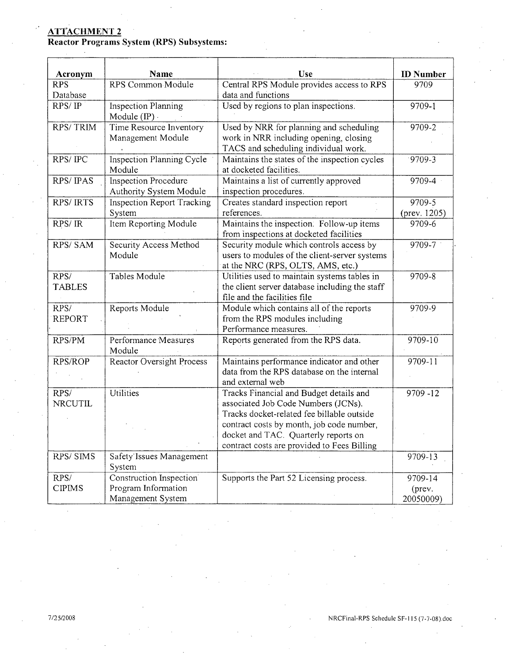## **ATTACHMENT** 2

Reactor Programs System (RPS) Subsystems:

| Acronym                | <b>Name</b>                                                         | <b>Use</b>                                                                                                                                                                                                        | <b>ID</b> Number               |
|------------------------|---------------------------------------------------------------------|-------------------------------------------------------------------------------------------------------------------------------------------------------------------------------------------------------------------|--------------------------------|
| <b>RPS</b>             | RPS Common Module                                                   | Central RPS Module provides access to RPS                                                                                                                                                                         | 9709                           |
| Database               |                                                                     | data and functions                                                                                                                                                                                                |                                |
| RPS/IP                 | <b>Inspection Planning</b><br>Module $(\text{IP})$ .                | Used by regions to plan inspections.                                                                                                                                                                              | 9709-1                         |
| <b>RPS/TRIM</b>        | Time Resource Inventory<br>Management Module                        | Used by NRR for planning and scheduling<br>work in NRR including opening, closing<br>TACS and scheduling individual work.                                                                                         | 9709-2                         |
| RPS/IPC                | Inspection Planning Cycle<br>Module                                 | Maintains the states of the inspection cycles<br>at docketed facilities.                                                                                                                                          | $9709 - 3$                     |
| RPS/IPAS               | <b>Inspection Procedure</b><br>Authority System Module              | Maintains a list of currently approved<br>inspection procedures.                                                                                                                                                  | 9709-4                         |
| <b>RPS/IRTS</b>        | <b>Inspection Report Tracking</b><br>System                         | Creates standard inspection report<br>references.                                                                                                                                                                 | 9709-5<br>(prev. 1205)         |
| RPS/IR                 | Item Reporting Module                                               | Maintains the inspection. Follow-up items<br>from inspections at docketed facilities                                                                                                                              | 9709-6                         |
| RPS/SAM                | Security Access Method<br>Module                                    | Security module which controls access by<br>users to modules of the client-server systems<br>at the NRC (RPS, OLTS, AMS, etc.)                                                                                    | 9709-7                         |
| RPS/<br><b>TABLES</b>  | <b>Tables Module</b>                                                | Utilities used to maintain systems tables in<br>the client server database including the staff<br>file and the facilities file                                                                                    | 9709-8                         |
| RPS/<br><b>REPORT</b>  | Reports Module                                                      | Module which contains all of the reports<br>from the RPS modules including<br>Performance measures.                                                                                                               | 9709-9                         |
| RPS/PM                 | Performance Measures<br>Module                                      | Reports generated from the RPS data.                                                                                                                                                                              | 9709-10                        |
| RPS/ROP                | Reactor Oversight Process                                           | Maintains performance indicator and other<br>data from the RPS database on the internal<br>and external web                                                                                                       | 9709-11                        |
| RPS/<br><b>NRCUTIL</b> | <b>Utilities</b>                                                    | Tracks Financial and Budget details and<br>associated Job Code Numbers (JCNs).<br>Tracks docket-related fee billable outside<br>contract costs by month, job code number,<br>docket and TAC. Quarterly reports on | 9709 - 12                      |
|                        |                                                                     | contract costs are provided to Fees Billing                                                                                                                                                                       |                                |
| RPS/SIMS               | Safety Issues Management<br>System                                  |                                                                                                                                                                                                                   | 9709-13                        |
| RPS/<br><b>CIPIMS</b>  | Construction Inspection<br>Program Information<br>Management System | Supports the Part 52 Licensing process.                                                                                                                                                                           | 9709-14<br>(prev.<br>20050009) |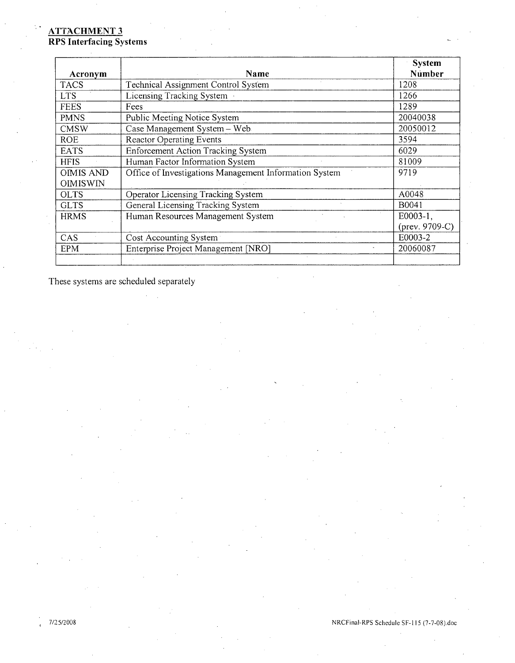# **ATTACHMENT 3** RPS Interfacing Systems

|                  |                                                        | <b>System</b>     |
|------------------|--------------------------------------------------------|-------------------|
| Acronym          | Name                                                   | Number            |
| <b>TACS</b>      | Technical Assignment Control System                    | 1208              |
| <b>LTS</b>       | Licensing Tracking System                              | 1266              |
| <b>FEES</b>      | Fees                                                   | 1289              |
| <b>PMNS</b>      | Public Meeting Notice System                           | 20040038          |
| <b>CMSW</b>      | Case Management System - Web                           | 20050012          |
| <b>ROE</b>       | <b>Reactor Operating Events</b>                        | 3594              |
| <b>EATS</b>      | <b>Enforcement Action Tracking System</b>              | 6029              |
| <b>HFIS</b>      | Human Factor Information System                        | 81009             |
| <b>OIMIS AND</b> | Office of Investigations Management Information System | 9719              |
| <b>OIMISWIN</b>  |                                                        |                   |
| <b>OLTS</b>      | Operator Licensing Tracking System                     | A0048             |
| <b>GLTS</b>      | General Licensing Tracking System                      | B0041             |
| <b>HRMS</b>      | Human Resources Management System                      | $E0003-1$ ,       |
|                  |                                                        | (prev. $9709-C$ ) |
| CAS              | Cost Accounting System                                 | E0003-2           |
| <b>EPM</b>       | Enterprise Project Management [NRO]                    | 20060087          |
|                  |                                                        |                   |

These systems are scheduled separately

**17/25/2008** NRCFina!-RPS Schedule SF-I 15 (7-7-08).doc $\epsilon$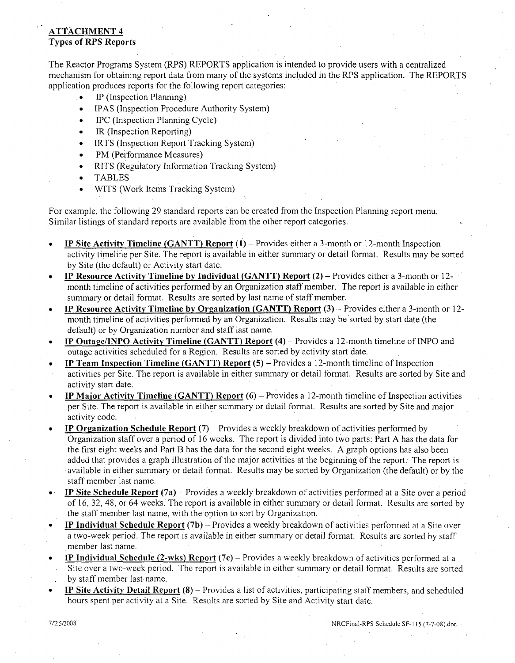# **ATTACHMENT** 4 Types of RPS Reports

The Reactor Programs System (RPS) REPORTS application is intended to provide users with a centralized mechanism for obtaining report data from many of the systems included in the RPS application. The REPORTS application produces reports for the following report categories:

- lIP (Inspection Planning)
- IPAS (Inspection Procedure Authority System)
- IPC (Inspection Planning Cycle)
- IR (Inspection Reporting)
- IRTS (Inspection Report Tracking System)
- PM (Performance Measures)
- \* RITS (Regulatory Information Tracking System)
- **TABLES**
- WITS (Work Items Tracking System)

For example, the following 29 standard reports can be created from the Inspection Planning report menu. Similar listings of standard reports are available from the other report categories.

- **\*** IP Site Activity Timeline **(GANTT)** Report **(1)**  Provides either a 3-month or 12-month Inspection activity timelirie per Site. The report is available in either summary or detail format. Results may be sorted by Site (the default) or Activity start date.
- **"** IP Resource Activity Timeline **by** Individual **(GANTT)** Report (2) Provides either a 3-month or 12 month timeline of activities performed by an Organization staff member. The report is available in either summary or detail format. Results are sorted by last name of staff member.
- **"** IP Resource Activity Timeline **by** Organization **(GANTT)** Report **(3)**  Provides either a 3-month or 12 month timeline of activities performed by an Organization. Results may be sorted by start date (the default) or by Organization number and staff last name.
- IP Outage/INPO Activity Timeline **(GANTT)** Report (4) Provides a 12-month timeline of INPO and outage activities scheduled for a Region. Results are sorted by activity start date.
- IP Team Inspection Timeline **(GANTT)** Report **(5)**  Provides a 12-month timeline of Inspection
- activities per Site. The report is available in either summary or detail format. Results are sorted by Site and activity start date.
- IP Major Activity Timeline **(GANTT)** Report **(6)**  Provides a 12-month timeline of Inspection activities per Site. The report is available in either summary or detail format. Results are sorted by Site and major activity code.
- IP Organization Schedule Report  $(7)$  Provides a weekly breakdown of activities performed by Organization staff over a period of 16 weeks. The report is divided into two parts: Part A has the data for the first eight weeks and Part B has the data for the second eight weeks. A graph options has also been added that provides a graph illustration of the major activities at the beginning of the report. The report is available in either summary or detail format. Results may be sorted by Organization (the default) or by the staff member last name.
- **IP Site Schedule Report (7a)** Provides a weekly breakdown of activities performed at a Site over a period of 16, 32, 48, or 64 weeks. The report is available in either summary or detail format. Results are sorted by the staff member last name, with the option to sort by Organization.
- **"** IP Individual Schedule Report **(7b)**  Provides a weekly breakdown of activities perforned at a Site over a two-week period. The report is available in either summary or detail format. Results are sorted by staff member last name.
- **IP Individual Schedule (2-wks) Report (7c)** Provides a weekly breakdown of activities performed at a Site over a two-week period. The report is available in either summary or detail format. Results are sorted by staff member last name.
- **\*** IP Site Activity Detail Report **(8)**  Provides a list of activities, participating staff members, and scheduled hours spent per activity at a Site. Results are sorted by Site and Activity start date.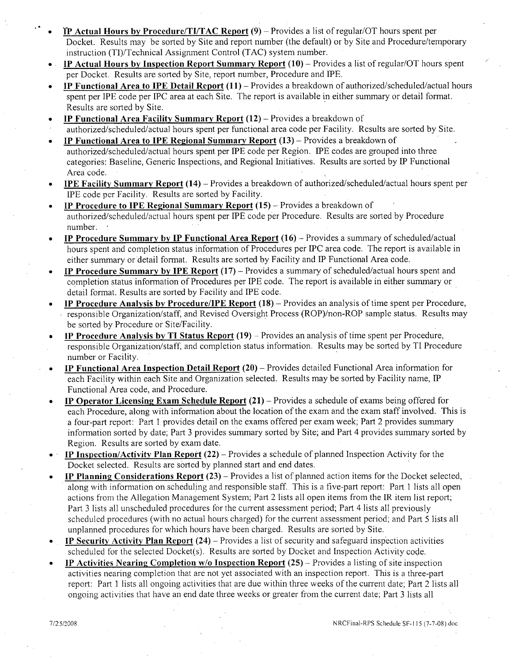- " **ITP** Actual Hours **by** Procedure/TI/TAC Report **(9)**  Provides a list of regular/OT hours spent per Docket. Results may be sorted by Site and report number (the default) or by Site and Procedure/temporary instruction (TI)/Technical Assignment Control (TAG) system number.
- IP Actual Hours **by** Inspection Report Summary Report **(10) -** Provides a list of regular/OT hours spent per Docket. Results are sorted by Site, report number, Procedure and **IPE.**
- IP Functional Area to 1PE Detail Report **(11) -** Provides a breakdown of authorized/scheduled/actual hours spent per IPE code per IPC area at each Site. The report is available in either summary or detail format. Results are sorted by Site.
- IP Functional Area Facility Summary Report (12) Provides a breakdown of
- authorized/scheduled/actual hours spent per functional area code per Facility. Results are sorted by Site.
- IP Functional Area to **IPE** Regional Summary Report **(13)**  Provides a breakdown of authorized/scheduled/actual hours spent per IPE code per Region. IPE codes are grouped into three categories: Baseline, Generic Inspections, and Regional Initiatives. Results are sorted by IP Functional Area code.
- IPE Facility Summary Report (14) Provides a breakdown of authorized/scheduled/actual hours spent per IPE code per Facility. Results are sorted by Facility.
- IP Procedure to **IPE** Regional Summary Report **(15)**  Provides a breakdown of authorized/scheduled/actual hours spent per IPE code per Procedure. Results are sorted by Procedure number.
- **\*** IP Procedure Summary **by** IP Functional Area Report **(16)-** Provides a summary of scheduled/actual hours spent and completion status information of Procedures per IPC area code. The report is available in either summary or detail format. Results are sorted by Facility and IP Functional Area code.
- **\*** IP Procedure Summary **by IPE** Report **(17)**  Provides a summary of scheduled/actual hours spent and completion status information of Procedures per **WE** code. The report is available in either summary or detail format. Results are sorted by Facility and **WE** code.
- **\*** IP Procedure Analysis **by** Procedure/IPE Report **(18)**  Provides an analysis of time spent per Procedure, responsible Organization/staff, and Revised Oversight Process (ROP)/non-ROP sample status. Results may be sorted by Procedure or Site/Facility.
- **IP Procedure Analysis by TI Status Report (19) Provides an analysis of time spent per Procedure,** responsible Organization/staff, and completion status information. Results may be sorted by TI Procedure number or Facility.
- **IP Functional Area Inspection Detail Report (20) Provides detailed Functional Area information for** each Facility within each Site and Organization selected. Results may be sorted by Facility name, IP Functional Area code, and Procedure.
- **IP Operator Licensing Exam Schedule Report (21) Provides a schedule of exams being offered for** each Procedure, along with information about the location of the exam and the exam staff involved. This is a four-part report: Part 1 provides detail on the exams offered per exam week; Part 2 provides summary information sorted by date; Part 3 provides summary sorted by Site; and Part 4 provides summary sorted by Region. Results are sorted by exam date.
- **IP** Inspection/Activity Plan Report (22) Provides a schedule of planned Inspection Activity for the Docket selected. Results are sorted by planned start and end dates.
- IP Planning Considerations Report  $(23)$  Provides a list of planned action items for the Docket selected, along with information on scheduling and responsible staff. This is a five-part report: Part **I** lists all open actions from the Allegation Management System; Part 2 lists all open items from the IR item list report; Part 3 lists all unscheduled procedures for the current assessment period; Part 4 lists all previously scheduled procedures (with no actual hours charged) for the current assessment period; and Part 5 lists all unplanned procedures for which hours have been charged. Results are sorted by Site.
- IP Security Activity Plan Report (24) Provides a list of security and safeguard inspection activities scheduled for the selected Docket(s). Results are sorted by Docket and Inspection Activity code.
- IP Activities Nearing4 Completion w/o Inspection Report (25) **--** Provides a listing of site inspection activities nearing completion that are not yet associated with an inspection report. This is a three-part report: Part **I** lists all ongoing activities that are due within three weeks of the current date; Part 2 lists all ongoing activities that have an end date three weeks or greater from the current date; Part 3 lists all